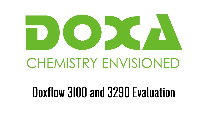

#### **CHEMISTRY ENVISIONED**

#### Doxflow 3100 and 3290 Evaluation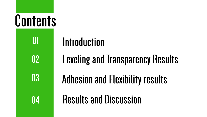#### **Contents**

01

 $\mathbf{0}$ 

03

 $\mathbf{0}$ 

#### Introduction

**Leveling and Transparency Results** 

**Adhesion and Flexibility results** 

**Results and Discussion**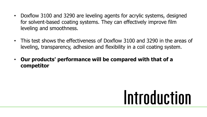- Doxflow 3100 and 3290 are leveling agents for acrylic systems, designed for solvent-based coating systems. They can effectively improve film leveling and smoothness.
- This test shows the effectiveness of Doxflow 3100 and 3290 in the areas of leveling, transparency, adhesion and flexibility in a coil coating system.
- **Our products' performance will be compared with that of a competitor**

#### Introduction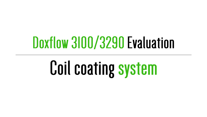#### Doxflow 3100/3290 Evaluation

## **Coil coating system**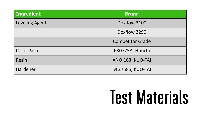| <b>Ingredient</b>     | <b>Brand</b>            |  |  |  |  |  |
|-----------------------|-------------------------|--|--|--|--|--|
| <b>Leveling Agent</b> | Doxflow 3100            |  |  |  |  |  |
|                       | Doxflow 3290            |  |  |  |  |  |
|                       | <b>Competitor Grade</b> |  |  |  |  |  |
| <b>Color Paste</b>    | PK0725A, Houchi         |  |  |  |  |  |
| <b>Resin</b>          | ANO 163, KUO-TAI        |  |  |  |  |  |
| Hardener              | M 27585, KUO-TAI        |  |  |  |  |  |

#### **Test Materials**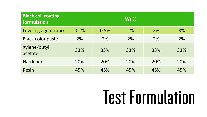| <b>Black coil coating</b><br>formulation | $Wt$ % |      |     |     |     |
|------------------------------------------|--------|------|-----|-----|-----|
| Leveling agent ratio                     | 0.1%   | 0.5% | 1%  | 2%  | 3%  |
| <b>Black color paste</b>                 | 2%     | 2%   | 2%  | 2%  | 2%  |
| Xylene/butyl<br>acetate                  | 33%    | 33%  | 33% | 33% | 33% |
| <b>Hardener</b>                          | 20%    | 20%  | 20% | 20% | 20% |
| <b>Resin</b>                             | 45%    | 45%  | 45% | 45% | 45% |

## **Test Formulation**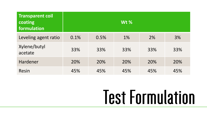| <b>Transparent coil</b><br>coating<br>formulation | Wt % |      |     |     |     |  |
|---------------------------------------------------|------|------|-----|-----|-----|--|
| Leveling agent ratio                              | 0.1% | 0.5% | 1%  | 2%  | 3%  |  |
| Xylene/butyl<br>acetate                           | 33%  | 33%  | 33% | 33% | 33% |  |
| <b>Hardener</b>                                   | 20%  | 20%  | 20% | 20% | 20% |  |
| Resin                                             | 45%  | 45%  | 45% | 45% | 45% |  |

## **Test Formulation**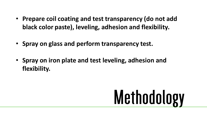- **Prepare coil coating and test transparency (do not add black color paste), leveling, adhesion and flexibility.**
- **Spray on glass and perform transparency test.**
- **Spray on iron plate and test leveling, adhesion and flexibility.**

# Methodology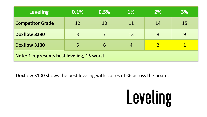| <b>Leveling</b>                            | 0.1%           | 0.5% | <b>1%</b> | <b>2%</b> | 3% |  |
|--------------------------------------------|----------------|------|-----------|-----------|----|--|
| <b>Competitor Grade</b>                    | 12             | 10   | 11        | 14        | 15 |  |
| Doxflow 3290                               | $\overline{3}$ | 7    | 13        | 8         | 9  |  |
| <b>Doxflow 3100</b>                        | 5              | 6    | 4         |           |    |  |
| Note: 1 represents best leveling, 15 worst |                |      |           |           |    |  |

#### Doxflow 3100 shows the best leveling with scores of <6 across the board.

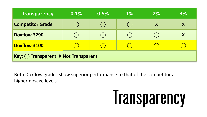| <b>Transparency</b>                  | 0.1% | 0.5% | <b>1%</b> | 2% | 3% |  |
|--------------------------------------|------|------|-----------|----|----|--|
| <b>Competitor Grade</b>              |      |      |           | X  |    |  |
| <b>Doxflow 3290</b>                  |      |      |           |    | X  |  |
| <b>Doxflow 3100</b>                  |      |      |           |    |    |  |
| $Key:$ Transparent X Not Transparent |      |      |           |    |    |  |

Both Doxflow grades show superior performance to that of the competitor at higher dosage levels

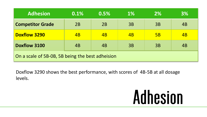| <b>Adhesion</b>                                  | 0.1%            | 0.5% | <b>1%</b>       | <b>2%</b> | <b>3%</b>       |
|--------------------------------------------------|-----------------|------|-----------------|-----------|-----------------|
| <b>Competitor Grade</b>                          | 2B              | 2B   | 3B              | 3B        | 4B              |
| <b>Doxflow 3290</b>                              | $\overline{AB}$ | 4B   | $\overline{AB}$ | 5B        | $\overline{AB}$ |
| <b>Doxflow 3100</b>                              | 4B              | 4B   | 3B              | 3B        | 4B              |
| On a scale of 5B-0B, 5B being the best adheision |                 |      |                 |           |                 |

Doxflow 3290 shows the best performance, with scores of 4B-5B at all dosage levels.

#### **Adhesion**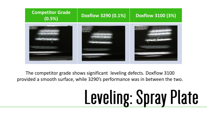

The competitor grade shows significant leveling defects. Doxflow 3100 provided a smooth surface, while 3290's performance was in between the two.

# Leveling: Spray Plate